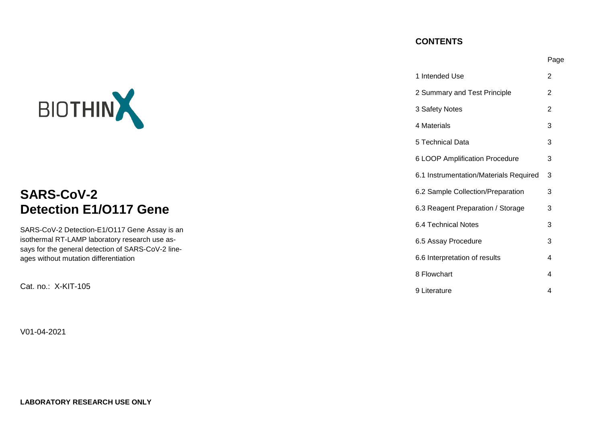# **CONTENTS**

|                                                                                             |                                        | Page           |
|---------------------------------------------------------------------------------------------|----------------------------------------|----------------|
|                                                                                             | 1 Intended Use                         | $\overline{2}$ |
|                                                                                             | 2 Summary and Test Principle           | 2              |
| BIOTHIN                                                                                     | 3 Safety Notes                         | $\overline{2}$ |
|                                                                                             | 4 Materials                            | 3              |
|                                                                                             | 5 Technical Data                       | 3              |
|                                                                                             | 6 LOOP Amplification Procedure         | 3              |
|                                                                                             | 6.1 Instrumentation/Materials Required | -3             |
| <b>SARS-CoV-2</b>                                                                           | 6.2 Sample Collection/Preparation      | 3              |
| <b>Detection E1/O117 Gene</b>                                                               | 6.3 Reagent Preparation / Storage      | 3              |
| SARS-CoV-2 Detection-E1/O117 Gene Assay is an                                               | 6.4 Technical Notes                    | 3              |
| isothermal RT-LAMP laboratory research use as-                                              | 6.5 Assay Procedure                    | 3              |
| says for the general detection of SARS-CoV-2 line-<br>ages without mutation differentiation | 6.6 Interpretation of results          | 4              |
|                                                                                             | 8 Flowchart                            | 4              |
| Cat. no.: X-KIT-105                                                                         | 9 Literature                           | 4              |

V01-04-2021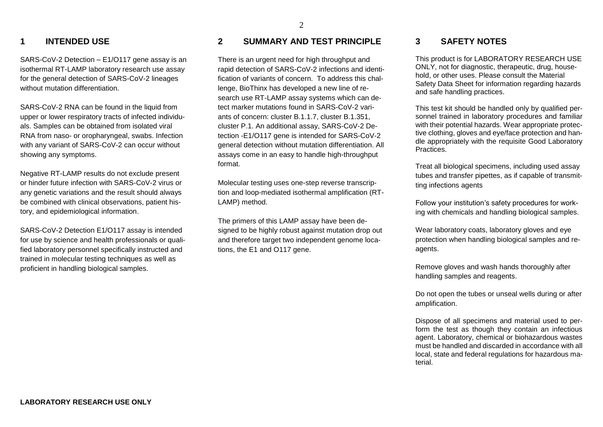## **1 INTENDED USE**

SARS-CoV-2 Detection – E1/O117 gene assay is an isothermal RT-LAMP laboratory research use assay for the general detection of SARS-CoV-2 lineages without mutation differentiation.

SARS-CoV-2 RNA can be found in the liquid from upper or lower respiratory tracts of infected individuals. Samples can be obtained from isolated viral RNA from naso- or oropharyngeal, swabs. Infection with any variant of SARS-CoV-2 can occur without showing any symptoms.

Negative RT-LAMP results do not exclude present or hinder future infection with SARS-CoV-2 virus or any genetic variations and the result should always be combined with clinical observations, patient history, and epidemiological information.

SARS-CoV-2 Detection E1/O117 assay is intended for use by science and health professionals or qualified laboratory personnel specifically instructed and trained in molecular testing techniques as well as proficient in handling biological samples.

## **2 SUMMARY AND TEST PRINCIPLE**

There is an urgent need for high throughput and rapid detection of SARS-CoV-2 infections and identification of variants of concern. To address this challenge, BioThinx has developed a new line of research use RT-LAMP assay systems which can detect marker mutations found in SARS-CoV-2 variants of concern: cluster B.1.1.7, cluster B.1.351, cluster P.1. An additional assay, SARS-CoV-2 Detection -E1/O117 gene is intended for SARS-CoV-2 general detection without mutation differentiation. All assays come in an easy to handle high-throughput format.

Molecular testing uses one-step reverse transcription and loop-mediated isothermal amplification (RT-LAMP) method.

The primers of this LAMP assay have been designed to be highly robust against mutation drop out and therefore target two independent genome locations, the E1 and O117 gene.

### **3 SAFETY NOTES**

This product is for LABORATORY RESEARCH USE ONLY, not for diagnostic, therapeutic, drug, household, or other uses. Please consult the Material Safety Data Sheet for information regarding hazards and safe handling practices.

This test kit should be handled only by qualified personnel trained in laboratory procedures and familiar with their potential hazards. Wear appropriate protective clothing, gloves and eye/face protection and handle appropriately with the requisite Good Laboratory Practices.

Treat all biological specimens, including used assay tubes and transfer pipettes, as if capable of transmitting infections agents

Follow your institution's safety procedures for working with chemicals and handling biological samples.

Wear laboratory coats, laboratory gloves and eye protection when handling biological samples and reagents.

Remove gloves and wash hands thoroughly after handling samples and reagents.

Do not open the tubes or unseal wells during or after amplification.

Dispose of all specimens and material used to perform the test as though they contain an infectious agent. Laboratory, chemical or biohazardous wastes must be handled and discarded in accordance with all local, state and federal regulations for hazardous material.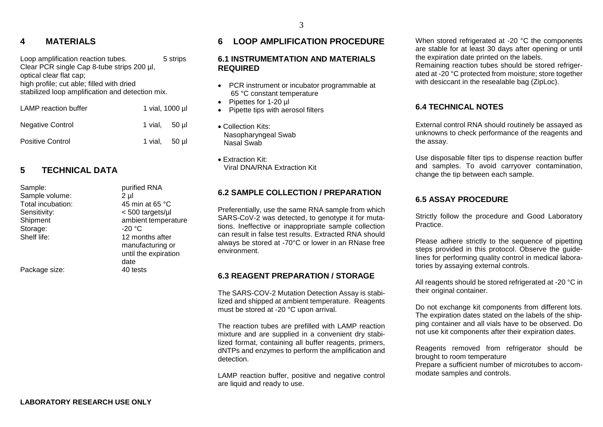## **4 MATERIALS**

Loop amplification reaction tubes. 5 strips Clear PCR single Cap 8-tube strips 200 µl, optical clear flat cap; high profile; cut able; filled with dried stabilized loop amplification and detection mix. LAMP reaction buffer 1 vial, 1000 µl Negative Control 1 vial, 50 µl

# Positive Control 1 vial, 50 µl

# **5 TECHNICAL DATA**

| Sample:           | purified RNA         |
|-------------------|----------------------|
| Sample volume:    | 2 µl                 |
| Total incubation: | 45 min at 65 °C      |
| Sensitivity:      | <500 targets/µl      |
| Shipment          | ambient temperature  |
| Storage:          | -20 °C               |
| Shelf life:       | 12 months after      |
|                   | manufacturing or     |
|                   | until the expiration |
|                   | date                 |
| Package size:     | 40 tests             |
|                   |                      |

# **6 LOOP AMPLIFICATION PROCEDURE**

#### **6.1 INSTRUMEMTATION AND MATERIALS REQUIRED**

- PCR instrument or incubator programmable at 65 °C constant temperature
- Pipettes for 1-20 ul
- Pipette tips with aerosol filters
- Collection Kits: Nasopharyngeal Swab Nasal Swab
- Extraction Kit: Viral DNA/RNA Extraction Kit

### **6.2 SAMPLE COLLECTION / PREPARATION**

Preferentially, use the same RNA sample from which SARS-CoV-2 was detected, to genotype it for mutations. Ineffective or inappropriate sample collection can result in false test results. Extracted RNA should always be stored at -70°C or lower in an RNase free environment.

#### **6.3 REAGENT PREPARATION / STORAGE**

The SARS-COV-2 Mutation Detection Assay is stabilized and shipped at ambient temperature. Reagents must be stored at -20 °C upon arrival.

The reaction tubes are prefilled with LAMP reaction mixture and are supplied in a convenient dry stabilized format, containing all buffer reagents, primers, dNTPs and enzymes to perform the amplification and detection.

LAMP reaction buffer, positive and negative control are liquid and ready to use.

When stored refrigerated at -20 °C the components are stable for at least 30 days after opening or until the expiration date printed on the labels. Remaining reaction tubes should be stored refrigerated at -20 °C protected from moisture; store together with desiccant in the resealable bag (ZipLoc).

### **6.4 TECHNICAL NOTES**

External control RNA should routinely be assayed as unknowns to check performance of the reagents and the assay.

Use disposable filter tips to dispense reaction buffer and samples. To avoid carryover contamination, change the tip between each sample.

### **6.5 ASSAY PROCEDURE**

Strictly follow the procedure and Good Laboratory Practice.

Please adhere strictly to the sequence of pipetting steps provided in this protocol. Observe the guidelines for performing quality control in medical laboratories by assaying external controls.

All reagents should be stored refrigerated at -20 °C in their original container.

Do not exchange kit components from different lots. The expiration dates stated on the labels of the shipping container and all vials have to be observed. Do not use kit components after their expiration dates.

Reagents removed from refrigerator should be brought to room temperature

Prepare a sufficient number of microtubes to accommodate samples and controls.